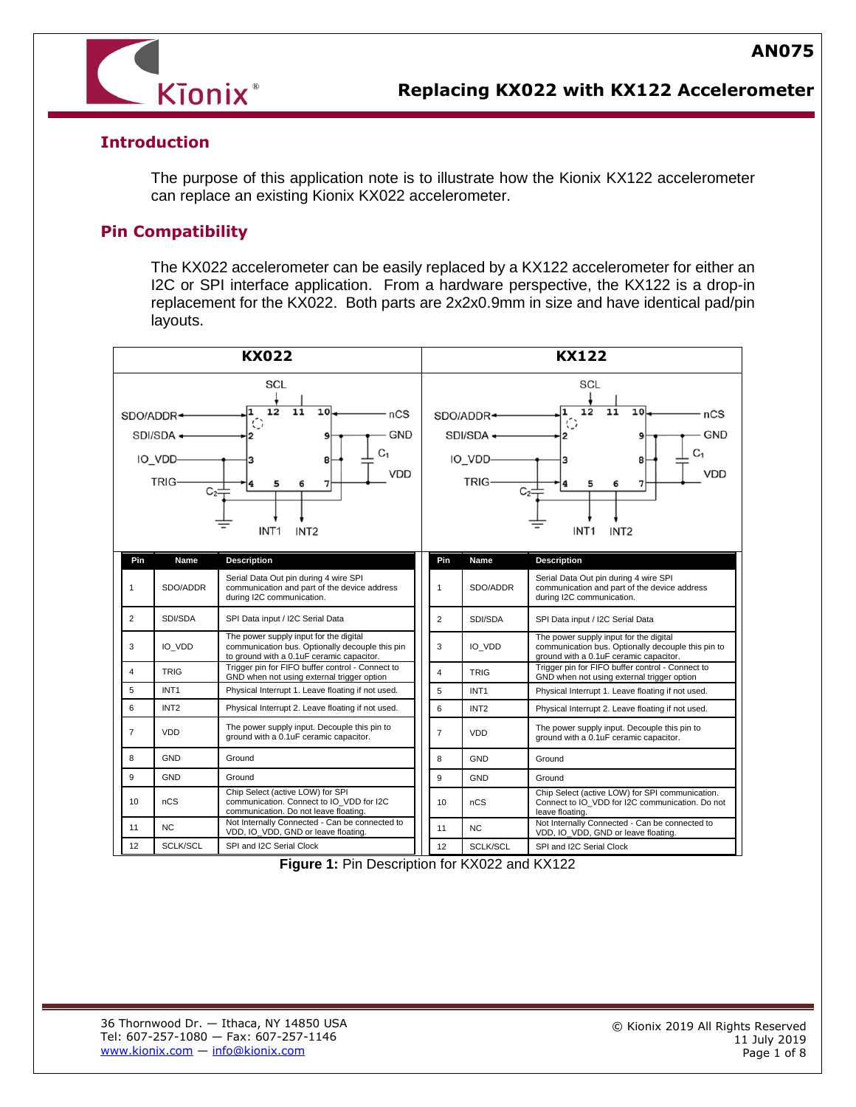

## **Introduction**

The purpose of this application note is to illustrate how the Kionix KX122 accelerometer can replace an existing Kionix KX022 accelerometer.

## **Pin Compatibility**

The KX022 accelerometer can be easily replaced by a KX122 accelerometer for either an I2C or SPI interface application. From a hardware perspective, the KX122 is a drop-in replacement for the KX022. Both parts are 2x2x0.9mm in size and have identical pad/pin layouts.



**Figure 1:** Pin Description for KX022 and KX122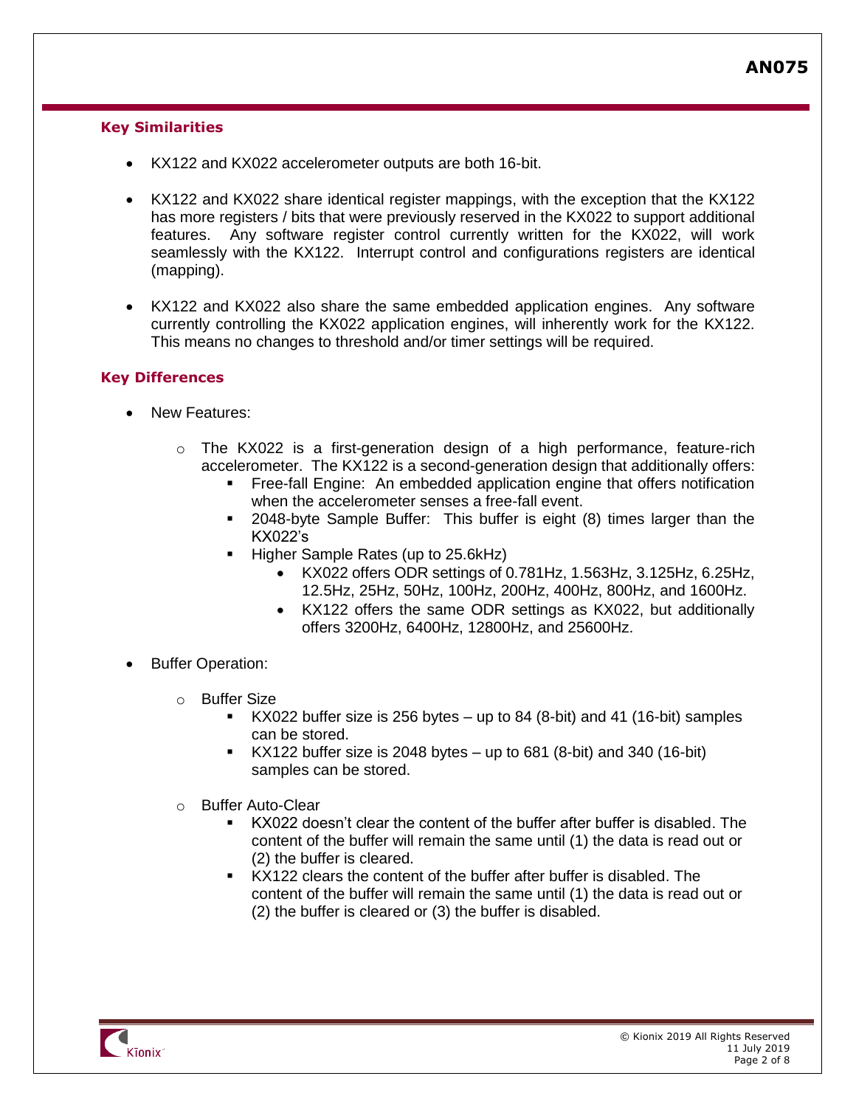## **Key Similarities**

- KX122 and KX022 accelerometer outputs are both 16-bit.
- KX122 and KX022 share identical register mappings, with the exception that the KX122 has more registers / bits that were previously reserved in the KX022 to support additional features. Any software register control currently written for the KX022, will work seamlessly with the KX122. Interrupt control and configurations registers are identical (mapping).
- KX122 and KX022 also share the same embedded application engines. Any software currently controlling the KX022 application engines, will inherently work for the KX122. This means no changes to threshold and/or timer settings will be required.

## **Key Differences**

- New Features:
	- $\circ$  The KX022 is a first-generation design of a high performance, feature-rich accelerometer. The KX122 is a second-generation design that additionally offers:
		- Free-fall Engine: An embedded application engine that offers notification when the accelerometer senses a free-fall event.
		- 2048-byte Sample Buffer: This buffer is eight (8) times larger than the KX022's
		- Higher Sample Rates (up to 25.6kHz)
			- KX022 offers ODR settings of 0.781Hz, 1.563Hz, 3.125Hz, 6.25Hz, 12.5Hz, 25Hz, 50Hz, 100Hz, 200Hz, 400Hz, 800Hz, and 1600Hz.
			- KX122 offers the same ODR settings as KX022, but additionally offers 3200Hz, 6400Hz, 12800Hz, and 25600Hz.
- Buffer Operation:
	- o Buffer Size
		- KX022 buffer size is 256 bytes up to 84 (8-bit) and 41 (16-bit) samples can be stored.
		- $KX122$  buffer size is 2048 bytes up to 681 (8-bit) and 340 (16-bit) samples can be stored.
	- o Buffer Auto-Clear
		- KX022 doesn't clear the content of the buffer after buffer is disabled. The content of the buffer will remain the same until (1) the data is read out or (2) the buffer is cleared.
		- KX122 clears the content of the buffer after buffer is disabled. The content of the buffer will remain the same until (1) the data is read out or (2) the buffer is cleared or (3) the buffer is disabled.

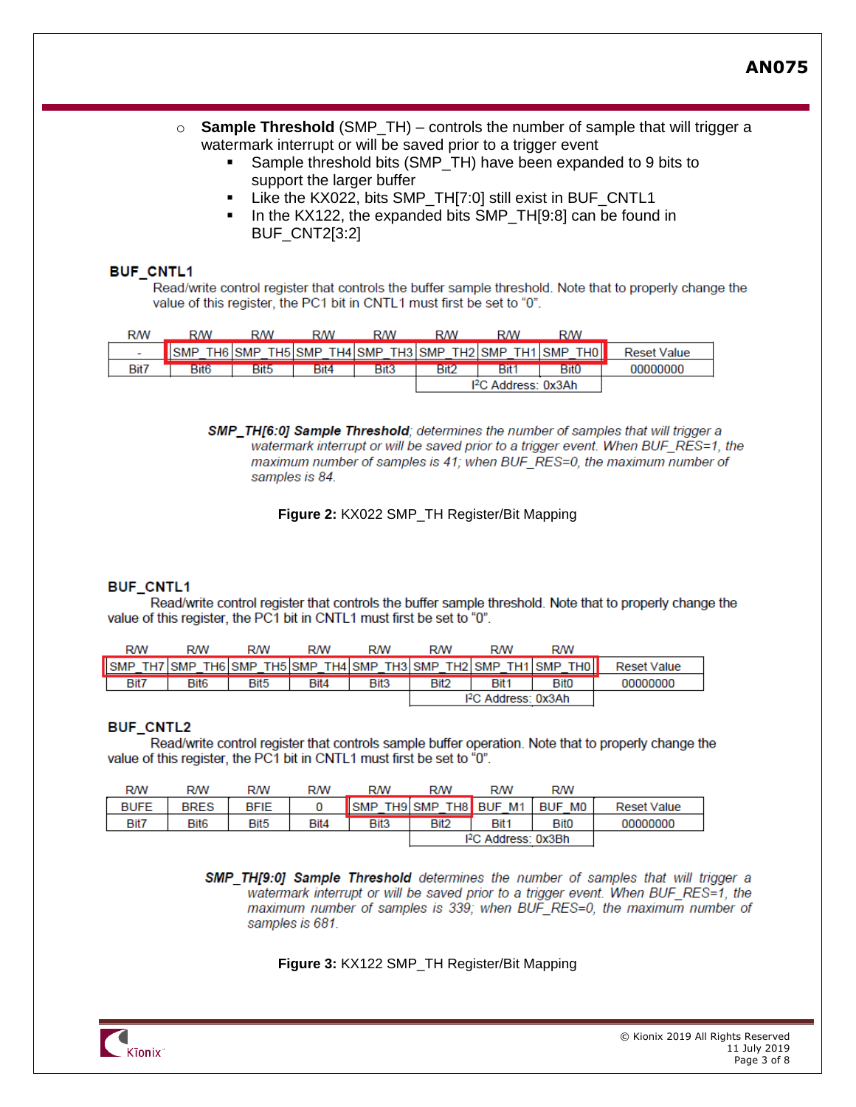- o **Sample Threshold** (SMP\_TH) controls the number of sample that will trigger a watermark interrupt or will be saved prior to a trigger event
	- Sample threshold bits (SMP\_TH) have been expanded to 9 bits to support the larger buffer
	- Like the KX022, bits SMP\_TH[7:0] still exist in BUF\_CNTL1
	- In the KX122, the expanded bits SMP\_TH[9:8] can be found in BUF\_CNT2[3:2]

#### **BUF CNTL1**

Read/write control register that controls the buffer sample threshold. Note that to properly change the value of this register, the PC1 bit in CNTL1 must first be set to "0".

| <b>RM</b>                | <b>RM</b>        | RM         | RM                 | RM                | <b>RM</b>   | <b>RM</b>                       | <b>RM</b>                   |                    |
|--------------------------|------------------|------------|--------------------|-------------------|-------------|---------------------------------|-----------------------------|--------------------|
| $\overline{\phantom{a}}$ |                  | <b>SMP</b> | TH5 SMP<br>$TH4$ : | <b>SMP</b><br>тнз | SMP<br>TH2  | SMP<br>٢Н                       | <b>SMP</b><br>THOI <b>N</b> | <b>Reset Value</b> |
| Bit7                     | Bit <sub>6</sub> | Bit5       | Bit4               | Bit <sub>3</sub>  | <b>Bit2</b> | Bit                             | <b>Bit0</b>                 | 00000000           |
|                          |                  |            |                    |                   |             | l <sup>2</sup> C Address: 0x3Ah |                             |                    |

SMP\_TH[6:0] Sample Threshold; determines the number of samples that will trigger a watermark interrupt or will be saved prior to a trigger event. When BUF RES=1, the maximum number of samples is 41; when BUF RES=0, the maximum number of samples is 84.

**Figure 2:** KX022 SMP\_TH Register/Bit Mapping

#### **BUF CNTL1**

Read/write control register that controls the buffer sample threshold. Note that to properly change the value of this register, the PC1 bit in CNTL1 must first be set to "0".

| <b>R/W</b> | <b>R/W</b>       | RW               | <b>R/W</b> | <b>RM</b> | RM      | <b>R/W</b>                      | <b>R/W</b>                    |                    |
|------------|------------------|------------------|------------|-----------|---------|---------------------------------|-------------------------------|--------------------|
| , SMP      | TH7 SMP          | TH6 SMP          | TH5 SMP    | TH4 SMP   | TH3 SMP | TH2 SMP<br>TH1 <sub>1</sub>     | <b>SMP</b><br>TH <sub>0</sub> | <b>Reset Value</b> |
| Bit7       | Bit <sub>6</sub> | Bit <sub>5</sub> | Bit4       | Bit3      | Bit2    | Bit <sub>1</sub>                | <b>Bit0</b>                   | 00000000           |
|            |                  |                  |            |           |         | I <sup>2</sup> C Address: 0x3Ah |                               |                    |

### **BUF CNTL2**

Read/write control register that controls sample buffer operation. Note that to properly change the value of this register, the PC1 bit in CNTL1 must first be set to "0".

| <b>R/W</b>  | RW               | RM               | RM   | <b>RM</b>        | <b>RM</b>        | <b>R/W</b>                    | <b>R/W</b>  |                    |
|-------------|------------------|------------------|------|------------------|------------------|-------------------------------|-------------|--------------------|
| <b>BUFE</b> | <b>BRES</b>      | <b>BFIE</b>      |      | <b>SMP</b>       | TH9 SMP          | TH8 BUF<br>M1                 | BUF MO      | <b>Reset Value</b> |
| Bit7        | Bit <sub>6</sub> | Bit <sub>5</sub> | Bit4 | Bit <sub>3</sub> | Bit <sub>2</sub> | Bit <sub>1</sub>              | <b>Bit0</b> | 00000000           |
|             |                  |                  |      |                  |                  | <sup>2</sup> C Address: 0x3Bh |             |                    |

**SMP TH[9:0] Sample Threshold** determines the number of samples that will trigger a watermark interrupt or will be saved prior to a trigger event. When BUF\_RES=1, the maximum number of samples is 339; when BUF RES=0, the maximum number of samples is 681.

### **Figure 3:** KX122 SMP\_TH Register/Bit Mapping

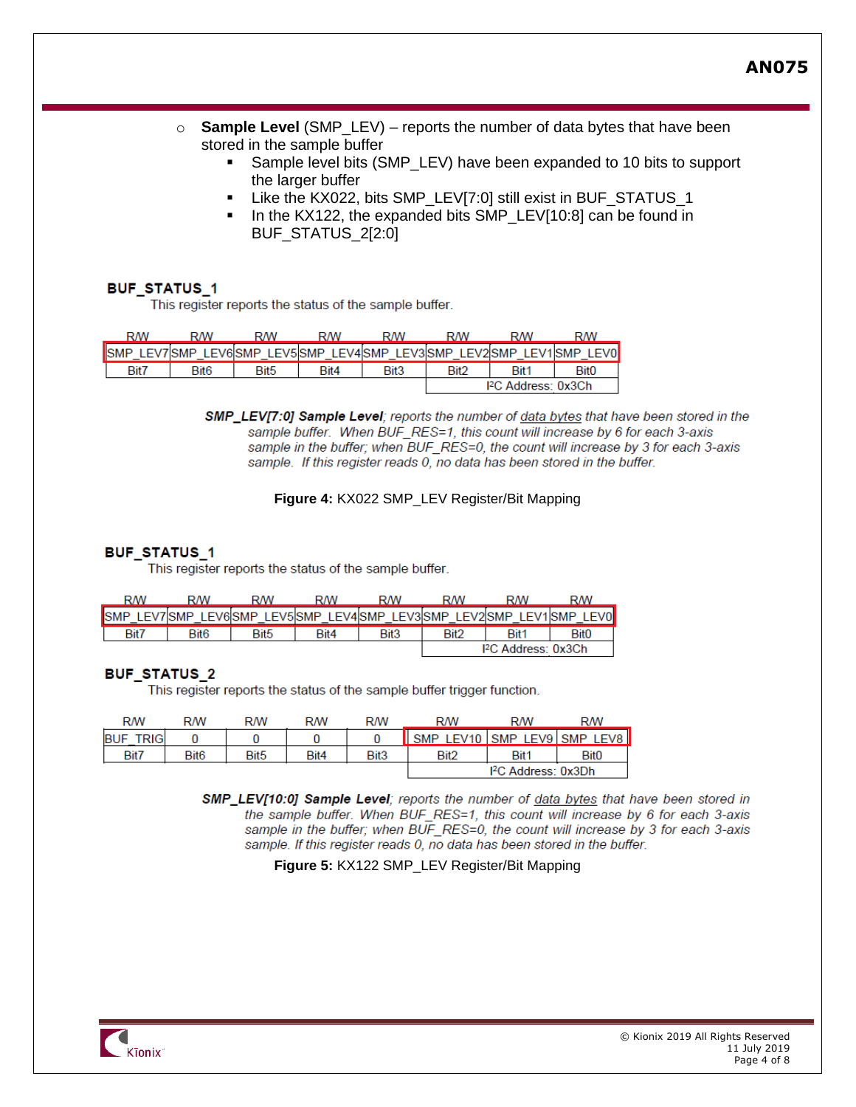**AN075**

- o **Sample Level** (SMP\_LEV) reports the number of data bytes that have been stored in the sample buffer
	- Sample level bits (SMP\_LEV) have been expanded to 10 bits to support the larger buffer
	- Like the KX022, bits SMP\_LEV[7:0] still exist in BUF\_STATUS\_1
	- In the KX122, the expanded bits SMP\_LEV[10:8] can be found in BUF STATUS 2[2:0]

### **BUF STATUS 1**

This register reports the status of the sample buffer.

| RM   | <b>RM</b> | <b>RM</b> | RM   | RM               | RM               | <b>RM</b>                       | RM                                                                  |
|------|-----------|-----------|------|------------------|------------------|---------------------------------|---------------------------------------------------------------------|
|      |           |           |      |                  |                  |                                 | LEV7 SMP LEV6 SMP LEV5 SMP LEV4 SMP LEV3 SMP LEV2 SMP LEV1 SMP LEV0 |
| Bit7 | Bit6      | Bit5      | Bit4 | Bit <sub>3</sub> | Bit <sub>2</sub> | Bit1                            | <b>Bit0</b>                                                         |
|      |           |           |      |                  |                  | I <sup>2</sup> C Address: 0x3Ch |                                                                     |

SMP\_LEV[7:0] Sample Level; reports the number of data bytes that have been stored in the sample buffer. When BUF\_RES=1, this count will increase by 6 for each 3-axis sample in the buffer; when BUF RES=0, the count will increase by 3 for each 3-axis sample. If this register reads 0, no data has been stored in the buffer.

#### **Figure 4:** KX022 SMP\_LEV Register/Bit Mapping

#### **BUF STATUS 1**

This register reports the status of the sample buffer.

| RM                           | <b>RM</b>        | RM                                      | RM   | <b>RM</b>        | RM               | RM                            | <b>RM</b>   |
|------------------------------|------------------|-----------------------------------------|------|------------------|------------------|-------------------------------|-------------|
| <b>SMP</b><br><b>LEV7SMP</b> |                  | LEV6SMP LEV5SMP LEV4SMP LEV3SMP LEV2SMP |      |                  |                  | LEV1SMP                       | <b>LEVO</b> |
| Bit7                         | Bit <sub>6</sub> | Bit <sub>5</sub>                        | Bit4 | Bit <sub>3</sub> | Bit <sub>2</sub> | Bit <sup>1</sup>              | <b>Bit0</b> |
|                              |                  |                                         |      |                  |                  | <sup>2</sup> C Address: 0x3Ch |             |

#### **BUF STATUS 2**

This register reports the status of the sample buffer trigger function.

| <b>RM</b>                 | RM               | RM               | <b>R/W</b> | <b>R/W</b>       | <b>RM</b>                 | <b>RM</b>                       | RW          |
|---------------------------|------------------|------------------|------------|------------------|---------------------------|---------------------------------|-------------|
| <b>FRIG</b><br><b>BUF</b> |                  |                  |            |                  | ISMPLEV10 SMPLEV9 SMPLEV8 |                                 |             |
| Bit7                      | Bit <sub>6</sub> | Bit <sub>5</sub> | Bit4       | Bit <sub>3</sub> | Bit <sub>2</sub>          | Bit1                            | <b>Bit0</b> |
|                           |                  |                  |            |                  |                           | I <sup>2</sup> C Address: 0x3Dh |             |

SMP\_LEV[10:0] Sample Level; reports the number of data bytes that have been stored in the sample buffer. When BUF\_RES=1, this count will increase by 6 for each 3-axis sample in the buffer; when BUF RES=0, the count will increase by 3 for each 3-axis sample. If this register reads 0, no data has been stored in the buffer.

**Figure 5:** KX122 SMP\_LEV Register/Bit Mapping

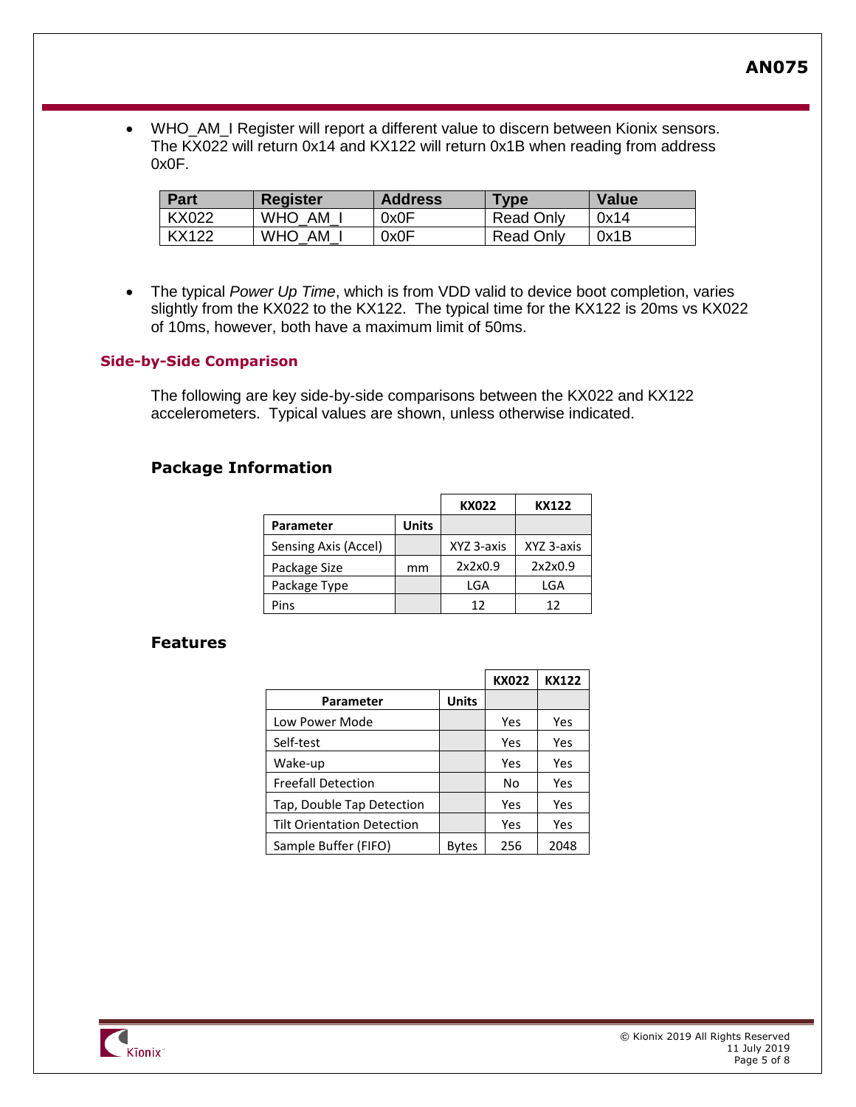• WHO\_AM\_I Register will report a different value to discern between Kionix sensors. The KX022 will return 0x14 and KX122 will return 0x1B when reading from address 0x0F.

| <b>Part</b>  | <b>Register</b>  | <b>Address</b> | $T$ <sub>VDe</sub> | <b>Value</b> |
|--------------|------------------|----------------|--------------------|--------------|
| <b>KX022</b> | WHO AM           | 0x0F           | Read Only          | 0x14         |
| KX122        | <b>WHO</b><br>AM | 0x0F           | Read Only          | 0x1B         |

• The typical *Power Up Time*, which is from VDD valid to device boot completion, varies slightly from the KX022 to the KX122. The typical time for the KX122 is 20ms vs KX022 of 10ms, however, both have a maximum limit of 50ms.

## **Side-by-Side Comparison**

The following are key side-by-side comparisons between the KX022 and KX122 accelerometers. Typical values are shown, unless otherwise indicated.

## **Package Information**

|                      |              | <b>KX022</b> | KX122      |
|----------------------|--------------|--------------|------------|
| Parameter            | <b>Units</b> |              |            |
| Sensing Axis (Accel) |              | XYZ 3-axis   | XYZ 3-axis |
| Package Size         | mm           | 2x2x0.9      | 2x2x0.9    |
| Package Type         |              | LGA          | LGA        |
| Pins                 |              | 12           | 12         |

## **Features**

|                                   |              | <b>KX022</b> | <b>KX122</b> |
|-----------------------------------|--------------|--------------|--------------|
| Parameter                         | <b>Units</b> |              |              |
| Low Power Mode                    |              | Yes          | Yes          |
| Self-test                         |              | Yes          | Yes          |
| Wake-up                           |              | Yes          | Yes          |
| <b>Freefall Detection</b>         |              | No           | Yes          |
| Tap, Double Tap Detection         |              | Yes          | Yes          |
| <b>Tilt Orientation Detection</b> |              | Yes          | Yes          |
| Sample Buffer (FIFO)              | Bytes        | 256          | 2048         |

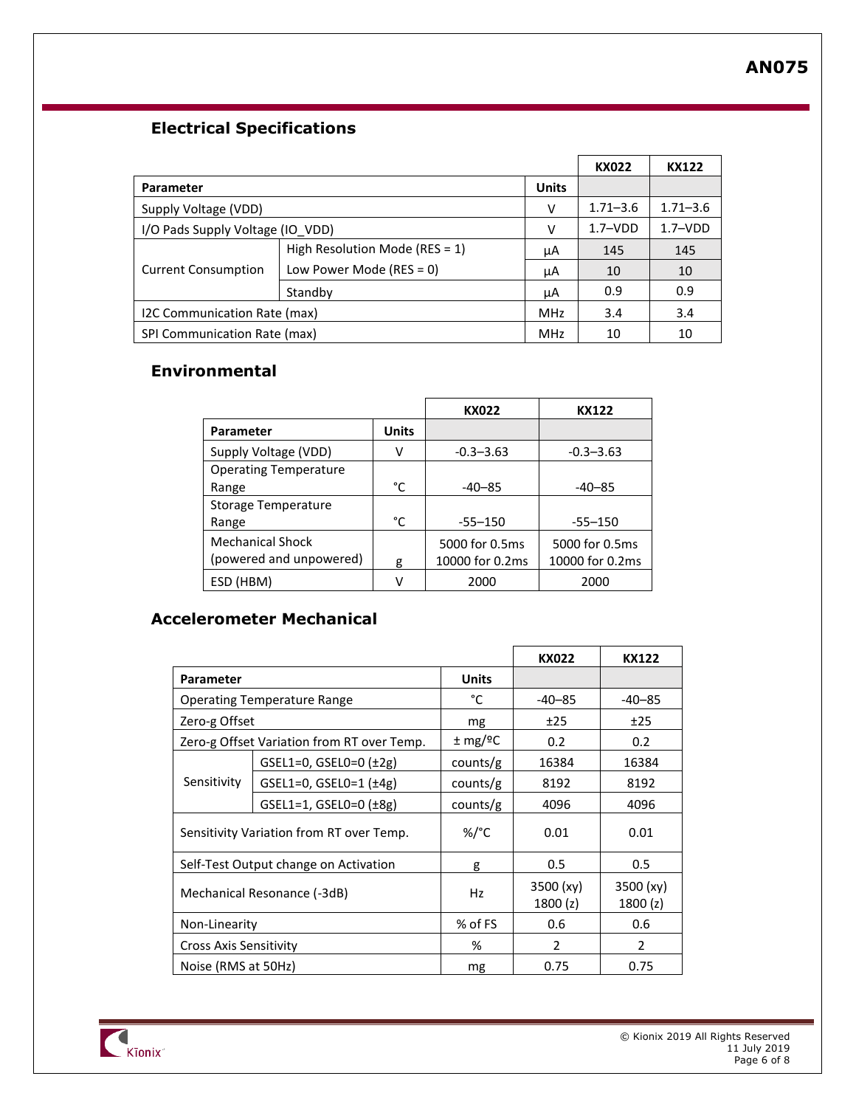## **Electrical Specifications**

|                                       |                                   |            | <b>KX022</b> | <b>KX122</b> |
|---------------------------------------|-----------------------------------|------------|--------------|--------------|
| <b>Parameter</b>                      | <b>Units</b>                      |            |              |              |
| Supply Voltage (VDD)                  |                                   | v          | $1.71 - 3.6$ | $1.71 - 3.6$ |
| I/O Pads Supply Voltage (IO_VDD)<br>v |                                   |            | $1.7 - VDD$  | $1.7 - VDD$  |
|                                       | High Resolution Mode (RES = $1$ ) | μA         | 145          | 145          |
| <b>Current Consumption</b>            | Low Power Mode (RES = 0)          | μA         | 10           | 10           |
|                                       | Standby                           | μA         | 0.9          | 0.9          |
| I2C Communication Rate (max)          |                                   | <b>MHz</b> | 3.4          | 3.4          |
| SPI Communication Rate (max)          |                                   | <b>MHz</b> | 10           | 10           |

# **Environmental**

|                              |              | KX022           | KX122           |
|------------------------------|--------------|-----------------|-----------------|
| Parameter                    | <b>Units</b> |                 |                 |
| Supply Voltage (VDD)         | ٧            | $-0.3 - 3.63$   | $-0.3 - 3.63$   |
| <b>Operating Temperature</b> |              |                 |                 |
| Range                        | °C           | $-40-85$        | $-40-85$        |
| Storage Temperature          |              |                 |                 |
| Range                        | °C           | $-55 - 150$     | $-55 - 150$     |
| <b>Mechanical Shock</b>      |              | 5000 for 0.5ms  | 5000 for 0.5ms  |
| (powered and unpowered)      | g            | 10000 for 0.2ms | 10000 for 0.2ms |
| ESD (HBM)                    | v            | 2000            | 2000            |

# **Accelerometer Mechanical**

|                                    |                                            |                          | <b>KX022</b>          | <b>KX122</b>         |
|------------------------------------|--------------------------------------------|--------------------------|-----------------------|----------------------|
| Parameter                          |                                            | <b>Units</b>             |                       |                      |
| <b>Operating Temperature Range</b> |                                            | °C                       | $-40-85$              | $-40-85$             |
| Zero-g Offset                      |                                            | mg                       | ±25                   | ±25                  |
|                                    | Zero-g Offset Variation from RT over Temp. | $\pm$ mg/ <sup>o</sup> C | 0.2                   | 0.2 <sub>0</sub>     |
|                                    | GSEL1=0, GSEL0=0 $(±2g)$                   | counts/g                 | 16384                 | 16384                |
| Sensitivity                        | $GSEL1=0$ , $GSEL0=1$ $(±4g)$              | counts/g                 | 8192                  | 8192                 |
|                                    | $GSEL1=1, GSEL0=0 (±8g)$                   | counts/g                 | 4096                  | 4096                 |
|                                    | Sensitivity Variation from RT over Temp.   | %/°C                     | 0.01                  | 0.01                 |
|                                    | Self-Test Output change on Activation      | g                        | 0.5                   | 0.5                  |
| Mechanical Resonance (-3dB)        |                                            | Hz                       | 3500 (xy)<br>1800 (z) | 3500 (xy)<br>1800(z) |
| Non-Linearity                      |                                            | % of FS                  | 0.6                   | 0.6                  |
| <b>Cross Axis Sensitivity</b>      |                                            | %                        | 2                     | $\mathcal{P}$        |
| Noise (RMS at 50Hz)                |                                            | mg                       | 0.75                  | 0.75                 |

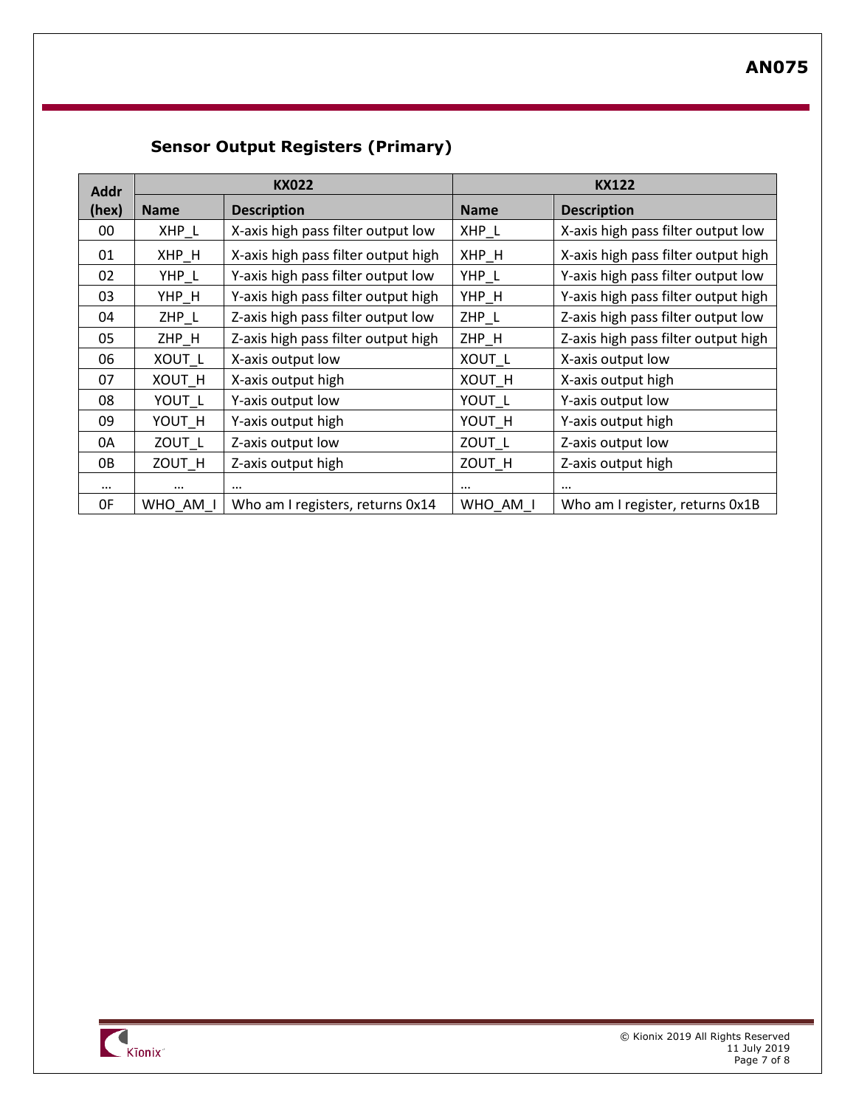# **Sensor Output Registers (Primary)**

| <b>Addr</b> | <b>KX022</b>  |                                     | <b>KX122</b> |                                     |
|-------------|---------------|-------------------------------------|--------------|-------------------------------------|
| (hex)       | <b>Name</b>   | <b>Description</b>                  | <b>Name</b>  | <b>Description</b>                  |
| 00          | XHP_L         | X-axis high pass filter output low  | XHP_L        | X-axis high pass filter output low  |
| 01          | XHP H         | X-axis high pass filter output high | XHP H        | X-axis high pass filter output high |
| 02          | YHP_L         | Y-axis high pass filter output low  | $YHP_L$      | Y-axis high pass filter output low  |
| 03          | YHP H         | Y-axis high pass filter output high | YHP H        | Y-axis high pass filter output high |
| 04          | $ZHP_L$       | Z-axis high pass filter output low  | ZHP_L        | Z-axis high pass filter output low  |
| 05          | ZHP H         | Z-axis high pass filter output high | ZHP H        | Z-axis high pass filter output high |
| 06          | XOUT L        | X-axis output low                   | XOUT L       | X-axis output low                   |
| 07          | <b>XOUT H</b> | X-axis output high                  | XOUT H       | X-axis output high                  |
| 08          | YOUT L        | Y-axis output low                   | YOUT L       | Y-axis output low                   |
| 09          | YOUT H        | Y-axis output high                  | YOUT H       | Y-axis output high                  |
| 0A          | ZOUT L        | Z-axis output low                   | ZOUT L       | Z-axis output low                   |
| 0B          | ZOUT_H        | Z-axis output high                  | ZOUT_H       | Z-axis output high                  |
| $\cdots$    | $\cdots$      | $\cdots$                            | $\cdots$     |                                     |
| 0F          | WHO AM I      | Who am I registers, returns 0x14    | WHO AM I     | Who am I register, returns 0x1B     |